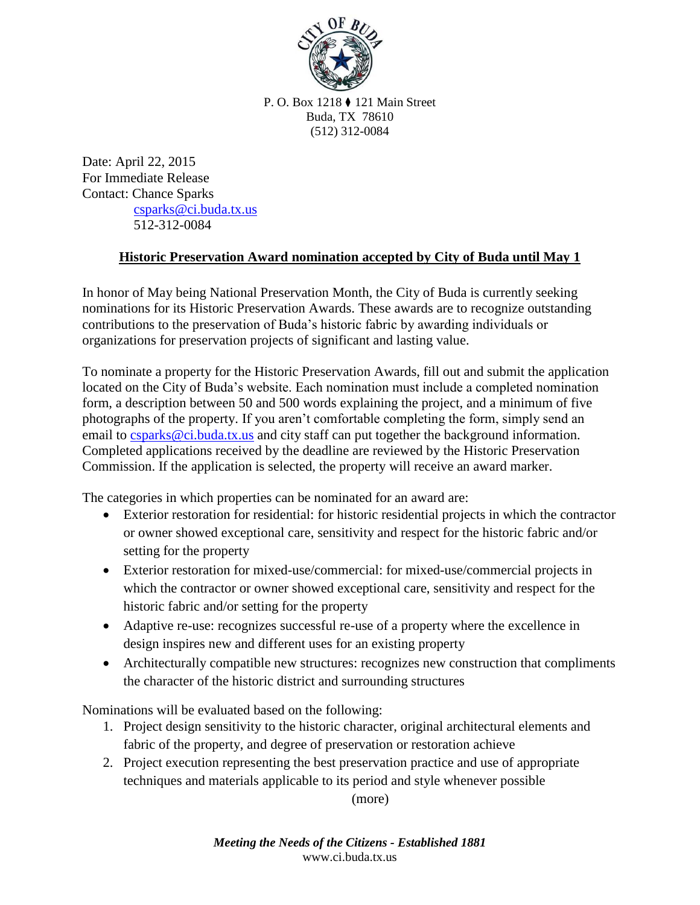

P. O. Box 1218 ⧫ 121 Main Street Buda, TX 78610 (512) 312-0084

Date: April 22, 2015 For Immediate Release Contact: Chance Sparks [csparks@ci.buda.tx.us](mailto:csparks@ci.buda.tx.us) 512-312-0084

## **Historic Preservation Award nomination accepted by City of Buda until May 1**

In honor of May being National Preservation Month, the City of Buda is currently seeking nominations for its Historic Preservation Awards. These awards are to recognize outstanding contributions to the preservation of Buda's historic fabric by awarding individuals or organizations for preservation projects of significant and lasting value.

To nominate a property for the Historic Preservation Awards, fill out and submit the application located on the City of Buda's website. Each nomination must include a completed nomination form, a description between 50 and 500 words explaining the project, and a minimum of five photographs of the property. If you aren't comfortable completing the form, simply send an email to [csparks@ci.buda.tx.us](mailto:csparks@ci.buda.tx.us) and city staff can put together the background information. Completed applications received by the deadline are reviewed by the Historic Preservation Commission. If the application is selected, the property will receive an award marker.

The categories in which properties can be nominated for an award are:

- Exterior restoration for residential: for historic residential projects in which the contractor or owner showed exceptional care, sensitivity and respect for the historic fabric and/or setting for the property
- Exterior restoration for mixed-use/commercial: for mixed-use/commercial projects in which the contractor or owner showed exceptional care, sensitivity and respect for the historic fabric and/or setting for the property
- Adaptive re-use: recognizes successful re-use of a property where the excellence in design inspires new and different uses for an existing property
- Architecturally compatible new structures: recognizes new construction that compliments the character of the historic district and surrounding structures

Nominations will be evaluated based on the following:

- 1. Project design sensitivity to the historic character, original architectural elements and fabric of the property, and degree of preservation or restoration achieve
- 2. Project execution representing the best preservation practice and use of appropriate techniques and materials applicable to its period and style whenever possible

(more)

*Meeting the Needs of the Citizens - Established 1881* www.ci.buda.tx.us